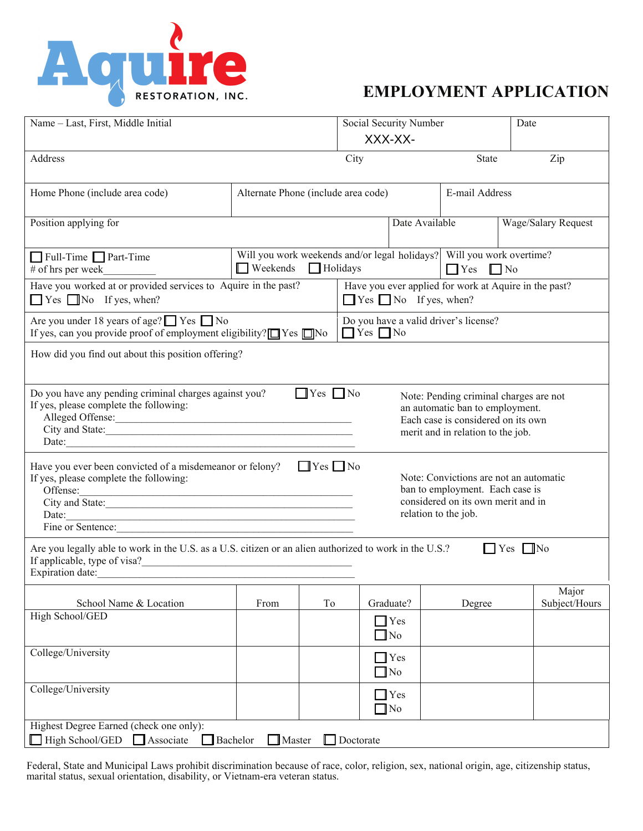

## **EMPLOYMENT APPLICATION**

| Name - Last, First, Middle Initial                                                                                                                                                                                                                                                                                                                                                                                    |                                                                                                                    |                                                                                             | Social Security Number<br>XXX-XX- |        | Date                                  |                        |  |  |  |  |  |
|-----------------------------------------------------------------------------------------------------------------------------------------------------------------------------------------------------------------------------------------------------------------------------------------------------------------------------------------------------------------------------------------------------------------------|--------------------------------------------------------------------------------------------------------------------|---------------------------------------------------------------------------------------------|-----------------------------------|--------|---------------------------------------|------------------------|--|--|--|--|--|
| Address                                                                                                                                                                                                                                                                                                                                                                                                               |                                                                                                                    |                                                                                             | City                              | State  | Zip                                   |                        |  |  |  |  |  |
| Home Phone (include area code)                                                                                                                                                                                                                                                                                                                                                                                        | Alternate Phone (include area code)                                                                                |                                                                                             |                                   |        | E-mail Address                        |                        |  |  |  |  |  |
| Position applying for                                                                                                                                                                                                                                                                                                                                                                                                 |                                                                                                                    |                                                                                             |                                   |        | Wage/Salary Request<br>Date Available |                        |  |  |  |  |  |
| Full-Time Part-Time<br># of hrs per week                                                                                                                                                                                                                                                                                                                                                                              | Will you work weekends and/or legal holidays? Will you work overtime?<br>Weekends Holidays<br>$\Box$ Yes $\Box$ No |                                                                                             |                                   |        |                                       |                        |  |  |  |  |  |
| Have you worked at or provided services to Aquire in the past?<br>$\Box$ Yes $\Box$ No If yes, when?                                                                                                                                                                                                                                                                                                                  |                                                                                                                    | Have you ever applied for work at Aquire in the past?<br>$\Box$ Yes $\Box$ No If yes, when? |                                   |        |                                       |                        |  |  |  |  |  |
| Are you under 18 years of age? $\Box$ Yes $\Box$ No<br>Do you have a valid driver's license?<br>If yes, can you provide proof of employment eligibility? $\square$ Yes $\square$ No<br>$\Box$ Yes $\Box$ No                                                                                                                                                                                                           |                                                                                                                    |                                                                                             |                                   |        |                                       |                        |  |  |  |  |  |
| How did you find out about this position offering?                                                                                                                                                                                                                                                                                                                                                                    |                                                                                                                    |                                                                                             |                                   |        |                                       |                        |  |  |  |  |  |
| Do you have any pending criminal charges against you?<br>$\blacksquare$ Yes $\blacksquare$ No<br>Note: Pending criminal charges are not<br>If yes, please complete the following:<br>an automatic ban to employment.<br>Alleged Offense:<br>Each case is considered on its own<br>City and State:<br>merit and in relation to the job.<br>Date:                                                                       |                                                                                                                    |                                                                                             |                                   |        |                                       |                        |  |  |  |  |  |
| Have you ever been convicted of a misdemeanor or felony?<br>$\Box$ Yes $\Box$ No<br>Note: Convictions are not an automatic<br>If yes, please complete the following:<br>ban to employment. Each case is<br>Offense:<br>Offense:<br>City and State:<br>considered on its own merit and in<br>relation to the job.<br>Date:<br>Fine or Sentence:<br><u> 1989 - Johann John Stone, mars and deutscher Stone († 1989)</u> |                                                                                                                    |                                                                                             |                                   |        |                                       |                        |  |  |  |  |  |
| Are you legally able to work in the U.S. as a U.S. citizen or an alien authorized to work in the U.S.?<br>$\Box$ Yes $\Box$ No                                                                                                                                                                                                                                                                                        |                                                                                                                    |                                                                                             |                                   |        |                                       |                        |  |  |  |  |  |
| School Name & Location                                                                                                                                                                                                                                                                                                                                                                                                | From                                                                                                               | To                                                                                          | Graduate?                         | Degree |                                       | Major<br>Subject/Hours |  |  |  |  |  |
| High School/GED                                                                                                                                                                                                                                                                                                                                                                                                       |                                                                                                                    |                                                                                             | $\Box$ Yes<br>$\Box$ No           |        |                                       |                        |  |  |  |  |  |
| College/University                                                                                                                                                                                                                                                                                                                                                                                                    |                                                                                                                    |                                                                                             | $\Box$ Yes<br>$\Box$ No           |        |                                       |                        |  |  |  |  |  |
| College/University                                                                                                                                                                                                                                                                                                                                                                                                    |                                                                                                                    |                                                                                             | Yes<br>$\Box$ No                  |        |                                       |                        |  |  |  |  |  |
| Highest Degree Earned (check one only):<br>High School/GED<br>Associate<br>Bachelor<br>$\Box$ Master<br>Doctorate                                                                                                                                                                                                                                                                                                     |                                                                                                                    |                                                                                             |                                   |        |                                       |                        |  |  |  |  |  |

Federal, State and Municipal Laws prohibit discrimination because of race, color, religion, sex, national origin, age, citizenship status, marital status, sexual orientation, disability, or Vietnam-era veteran status.